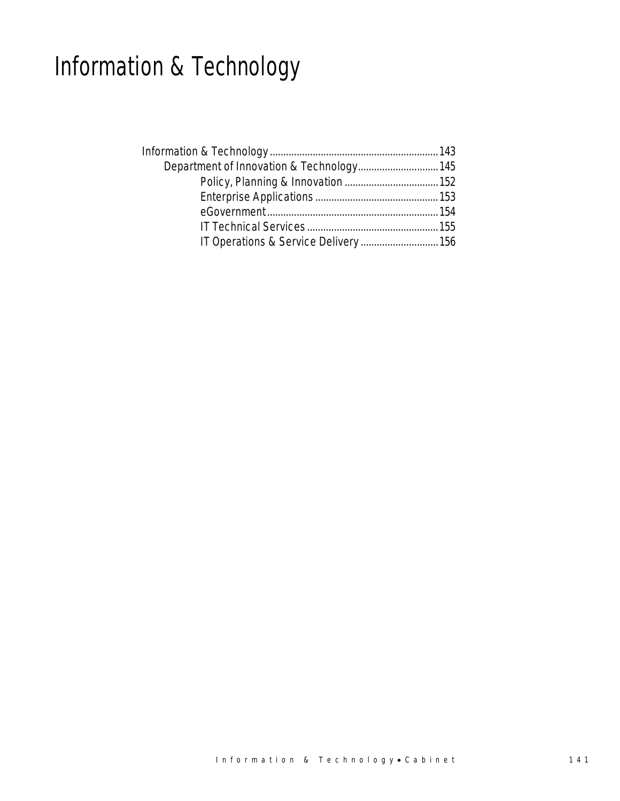# Information & Technology

| Department of Innovation & Technology 145 |  |
|-------------------------------------------|--|
|                                           |  |
|                                           |  |
|                                           |  |
|                                           |  |
| IT Operations & Service Delivery  156     |  |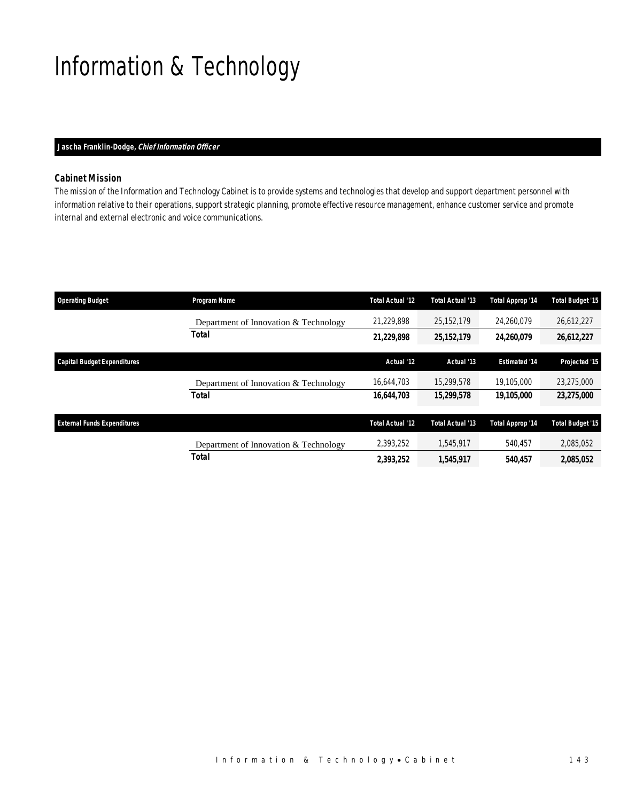# Information & Technology

#### *Jascha Franklin-Dodge, Chief Information Officer*

## *Cabinet Mission*

The mission of the Information and Technology Cabinet is to provide systems and technologies that develop and support department personnel with information relative to their operations, support strategic planning, promote effective resource management, enhance customer service and promote internal and external electronic and voice communications.

| <b>Operating Budget</b>            | <b>Program Name</b>                   | <b>Total Actual '12</b> | Total Actual '13 | Total Approp '14     | <b>Total Budget '15</b> |
|------------------------------------|---------------------------------------|-------------------------|------------------|----------------------|-------------------------|
|                                    | Department of Innovation & Technology | 21,229,898              | 25,152,179       | 24.260.079           | 26,612,227              |
|                                    | Total                                 | 21,229,898              | 25, 152, 179     | 24,260,079           | 26,612,227              |
| <b>Capital Budget Expenditures</b> |                                       | Actual '12              | Actual '13       | <b>Estimated '14</b> | Projected '15           |
|                                    | Department of Innovation & Technology | 16.644.703              | 15,299,578       | 19,105,000           | 23,275,000              |
|                                    | Total                                 | 16,644,703              | 15,299,578       | 19,105,000           | 23.275,000              |
| <b>External Funds Expenditures</b> |                                       | <b>Total Actual '12</b> | Total Actual '13 | Total Approp '14     | <b>Total Budget '15</b> |
|                                    | Department of Innovation & Technology | 2,393,252               | 1.545.917        | 540.457              | 2,085,052               |
|                                    | <b>Total</b>                          | 2,393,252               | 1,545,917        | 540,457              | 2,085,052               |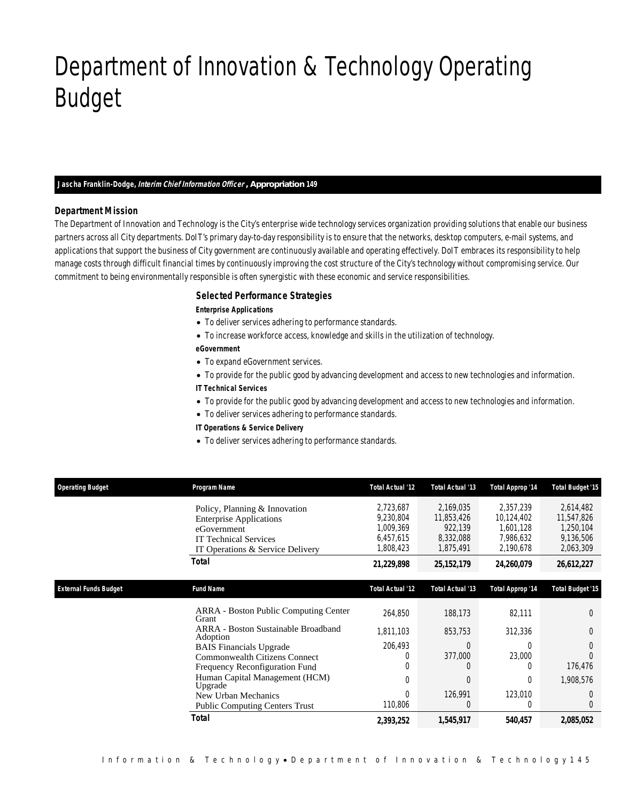# Department of Innovation & Technology Operating Budget

#### *Jascha Franklin-Dodge, Interim Chief Information Officer , Appropriation 149*

#### *Department Mission*

Department of Innovation & Technology

The Department of Innovation and Technology is the City's enterprise wide technology services organization providing solutions that enable our business partners across all City departments. DoIT's primary day-to-day responsibility is to ensure that the networks, desktop computers, e-mail systems, and applications that support the business of City government are continuously available and operating effectively. DoIT embraces its responsibility to help manage costs through difficult financial times by continuously improving the cost structure of the City's technology without compromising service. Our commitment to being environmentally responsible is often synergistic with these economic and service responsibilities.

### *Selected Performance Strategies*

#### *Enterprise Applications*

- To deliver services adhering to performance standards.
- To increase workforce access, knowledge and skills in the utilization of technology.

#### *eGovernment*

- To expand eGovernment services.
- To provide for the public good by advancing development and access to new technologies and information.
- *IT Technical Services*
- To provide for the public good by advancing development and access to new technologies and information.
- To deliver services adhering to performance standards.
- *IT Operations & Service Delivery*
- To deliver services adhering to performance standards.

| <b>Operating Budget</b>      | Program Name                                          | <b>Total Actual '12</b> | <b>Total Actual '13</b> | Total Approp '14        | <b>Total Budget '15</b> |
|------------------------------|-------------------------------------------------------|-------------------------|-------------------------|-------------------------|-------------------------|
|                              | Policy, Planning & Innovation                         | 2,723,687               | 2,169,035               | 2,357,239               | 2,614,482               |
|                              | <b>Enterprise Applications</b>                        | 9,230,804               | 11,853,426              | 10,124,402              | 11,547,826              |
|                              | eGovernment                                           | 1,009,369               | 922,139                 | 1,601,128               | 1,250,104               |
|                              | <b>IT Technical Services</b>                          | 6,457,615               | 8,332,088               | 7,986,632               | 9,136,506               |
|                              | IT Operations & Service Delivery                      | 1,808,423               | 1,875,491               | 2,190,678               | 2,063,309               |
|                              | Total                                                 | 21,229,898              | 25, 152, 179            | 24,260,079              | 26,612,227              |
|                              |                                                       |                         |                         |                         |                         |
| <b>External Funds Budget</b> | <b>Fund Name</b>                                      | <b>Total Actual '12</b> | Total Actual '13        | <b>Total Approp '14</b> | <b>Total Budget '15</b> |
|                              | <b>ARRA</b> - Boston Public Computing Center<br>Grant | 264,850                 | 188,173                 | 82,111                  | $\Omega$                |
|                              | ARRA - Boston Sustainable Broadband<br>Adoption       | 1.811.103               | 853,753                 | 312,336                 | $\Omega$                |
|                              | <b>BAIS</b> Financials Upgrade                        | 206,493                 | $\Omega$                | $\Omega$                | $\Omega$                |
|                              | <b>Commonwealth Citizens Connect</b>                  | $\left($                | 377,000                 | 23,000                  | $\Omega$                |
|                              | Frequency Reconfiguration Fund                        |                         |                         | $\left( \right)$        | 176,476                 |
|                              | Human Capital Management (HCM)<br>Upgrade             | $\Omega$                | $\Omega$                | $\theta$                | 1,908,576               |
|                              | New Urban Mechanics                                   | $\Omega$                | 126,991                 | 123,010                 | $\Omega$                |
|                              | <b>Public Computing Centers Trust</b>                 | 110,806                 | $\Omega$                | 0                       | $\Omega$                |
|                              | <b>Total</b>                                          | 2,393,252               | 1,545,917               | 540,457                 | 2,085,052               |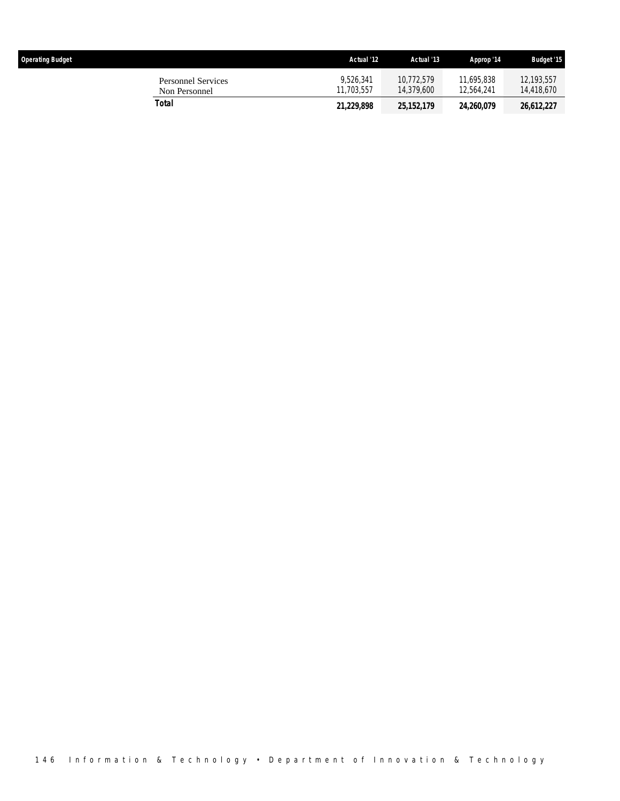| <b>Operating Budget</b>                    | Actual '12              | Actual '13               | Approp '14               | <b>Budget '15</b>        |
|--------------------------------------------|-------------------------|--------------------------|--------------------------|--------------------------|
| <b>Personnel Services</b><br>Non Personnel | 9.526.341<br>11.703.557 | 10.772.579<br>14.379.600 | 11,695,838<br>12.564.241 | 12,193,557<br>14,418,670 |
| Total                                      | 21,229,898              | 25, 152, 179             | 24,260,079               | 26,612,227               |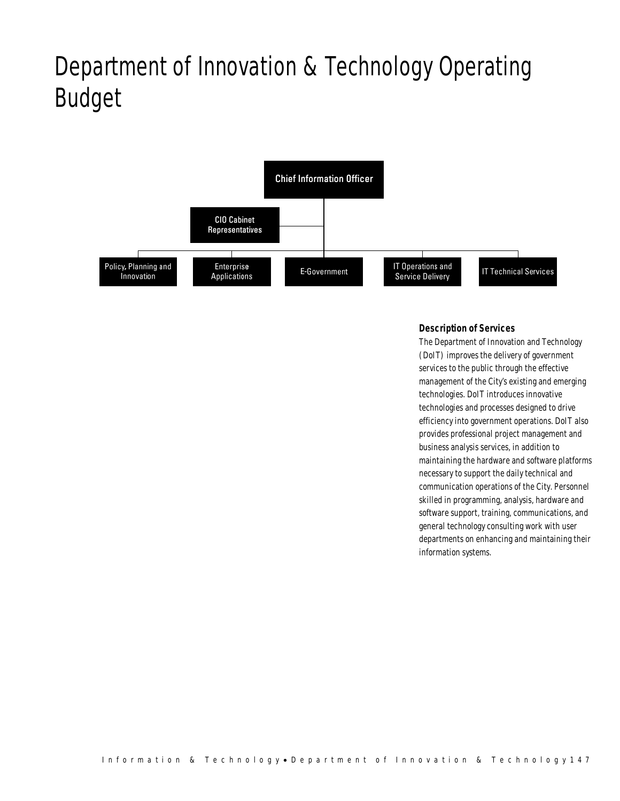# Department of Innovation & Technology Operating Budget



## *Description of Services*

The Department of Innovation and Technology (DoIT) improves the delivery of government services to the public through the effective management of the City's existing and emerging technologies. DoIT introduces innovative technologies and processes designed to drive efficiency into government operations. DoIT also provides professional project management and business analysis services, in addition to maintaining the hardware and software platforms necessary to support the daily technical and communication operations of the City. Personnel skilled in programming, analysis, hardware and software support, training, communications, and general technology consulting work with user departments on enhancing and maintaining their information systems.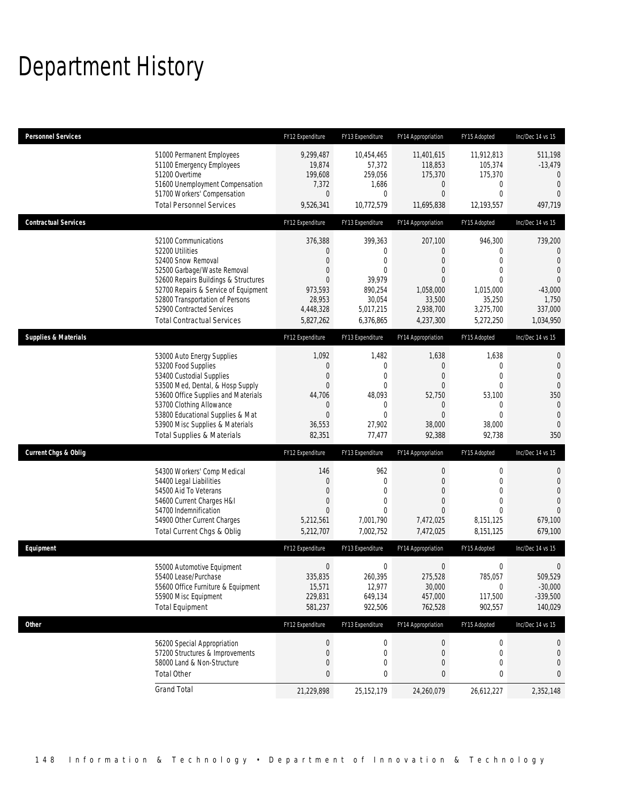# Department History

| <b>Personnel Services</b>       |                                                                                                                                                                                                                                                                                                      | FY12 Expenditure                                                                                              | FY13 Expenditure                                                                                                  | FY14 Appropriation                                                                                                      | FY15 Adopted                                                                                                             | Inc/Dec 14 vs 15                                                                                                         |
|---------------------------------|------------------------------------------------------------------------------------------------------------------------------------------------------------------------------------------------------------------------------------------------------------------------------------------------------|---------------------------------------------------------------------------------------------------------------|-------------------------------------------------------------------------------------------------------------------|-------------------------------------------------------------------------------------------------------------------------|--------------------------------------------------------------------------------------------------------------------------|--------------------------------------------------------------------------------------------------------------------------|
|                                 | 51000 Permanent Employees<br>51100 Emergency Employees<br>51200 Overtime<br>51600 Unemployment Compensation<br>51700 Workers' Compensation<br><b>Total Personnel Services</b>                                                                                                                        | 9,299,487<br>19,874<br>199,608<br>7,372<br>0<br>9,526,341                                                     | 10,454,465<br>57,372<br>259,056<br>1,686<br>$\mathbf 0$<br>10,772,579                                             | 11,401,615<br>118,853<br>175,370<br>0<br>$\mathbf{0}$<br>11,695,838                                                     | 11,912,813<br>105,374<br>175,370<br>$\mathbf 0$<br>$\mathbf{0}$<br>12,193,557                                            | 511,198<br>$-13,479$<br>$\mathbf 0$<br>$\overline{0}$<br>$\Omega$<br>497,719                                             |
| <b>Contractual Services</b>     |                                                                                                                                                                                                                                                                                                      | FY12 Expenditure                                                                                              | FY13 Expenditure                                                                                                  | FY14 Appropriation                                                                                                      | FY15 Adopted                                                                                                             | Inc/Dec 14 vs 15                                                                                                         |
|                                 | 52100 Communications<br>52200 Utilities<br>52400 Snow Removal<br>52500 Garbage/Waste Removal<br>52600 Repairs Buildings & Structures<br>52700 Repairs & Service of Equipment<br>52800 Transportation of Persons<br>52900 Contracted Services<br><b>Total Contractual Services</b>                    | 376,388<br>0<br>$\Omega$<br>$\overline{0}$<br>$\overline{0}$<br>973,593<br>28,953<br>4,448,328<br>5,827,262   | 399,363<br>$\mathbf 0$<br>$\mathbf{0}$<br>$\mathbf{0}$<br>39,979<br>890,254<br>30,054<br>5,017,215<br>6,376,865   | 207,100<br>$\mathbf 0$<br>$\overline{0}$<br>$\overline{0}$<br>$\theta$<br>1,058,000<br>33,500<br>2,938,700<br>4,237,300 | 946,300<br>$\mathbf 0$<br>$\overline{0}$<br>$\mathbf{0}$<br>$\mathbf 0$<br>1,015,000<br>35,250<br>3,275,700<br>5,272,250 | 739,200<br>$\mathbf 0$<br>$\overline{0}$<br>$\mathbf{0}$<br>$\overline{0}$<br>$-43,000$<br>1,750<br>337,000<br>1,034,950 |
| <b>Supplies &amp; Materials</b> |                                                                                                                                                                                                                                                                                                      | FY12 Expenditure                                                                                              | FY13 Expenditure                                                                                                  | FY14 Appropriation                                                                                                      | FY15 Adopted                                                                                                             | Inc/Dec 14 vs 15                                                                                                         |
|                                 | 53000 Auto Energy Supplies<br>53200 Food Supplies<br>53400 Custodial Supplies<br>53500 Med, Dental, & Hosp Supply<br>53600 Office Supplies and Materials<br>53700 Clothing Allowance<br>53800 Educational Supplies & Mat<br>53900 Misc Supplies & Materials<br><b>Total Supplies &amp; Materials</b> | 1,092<br>$\mathbf 0$<br>$\overline{0}$<br>$\overline{0}$<br>44,706<br>0<br>$\overline{0}$<br>36,553<br>82,351 | 1,482<br>$\mathbf 0$<br>$\mathbf{0}$<br>$\mathbf{0}$<br>48,093<br>$\mathbf 0$<br>$\mathbf{0}$<br>27,902<br>77,477 | 1,638<br>$\mathbf 0$<br>$\overline{0}$<br>$\mathbf{0}$<br>52,750<br>$\mathbf 0$<br>$\overline{0}$<br>38,000<br>92,388   | 1,638<br>0<br>$\overline{0}$<br>$\mathbf{0}$<br>53,100<br>$\mathbf 0$<br>$\mathbf{0}$<br>38,000<br>92,738                | 0<br>$\theta$<br>$\overline{0}$<br>$\mathbf{0}$<br>350<br>$\theta$<br>$\theta$<br>$\overline{0}$<br>350                  |
| <b>Current Chgs &amp; Oblig</b> |                                                                                                                                                                                                                                                                                                      | FY12 Expenditure                                                                                              | FY13 Expenditure                                                                                                  | FY14 Appropriation                                                                                                      | FY15 Adopted                                                                                                             | Inc/Dec 14 vs 15                                                                                                         |
|                                 | 54300 Workers' Comp Medical<br>54400 Legal Liabilities<br>54500 Aid To Veterans<br>54600 Current Charges H&I<br>54700 Indemnification<br>54900 Other Current Charges<br>Total Current Chgs & Oblig                                                                                                   | 146<br>$\overline{0}$<br>$\Omega$<br>$\mathbf 0$<br>$\overline{0}$<br>5,212,561<br>5,212,707                  | 962<br>$\mathbf{0}$<br>$\mathbf{0}$<br>$\mathbf{0}$<br>$\Omega$<br>7,001,790<br>7,002,752                         | $\boldsymbol{0}$<br>$\mathbf 0$<br>$\overline{0}$<br>$\overline{0}$<br>$\Omega$<br>7,472,025<br>7,472,025               | 0<br>$\mathbf 0$<br>$\mathbf{0}$<br>$\mathbf{0}$<br>$\Omega$<br>8,151,125<br>8,151,125                                   | 0<br>$\theta$<br>$\theta$<br>$\theta$<br>$\Omega$<br>679,100<br>679,100                                                  |
| Equipment                       |                                                                                                                                                                                                                                                                                                      | FY12 Expenditure                                                                                              | FY13 Expenditure                                                                                                  | FY14 Appropriation                                                                                                      | FY15 Adopted                                                                                                             | Inc/Dec 14 vs 15                                                                                                         |
|                                 | 55000 Automotive Equipment<br>55400 Lease/Purchase<br>55600 Office Furniture & Equipment<br>55900 Misc Equipment<br><b>Total Equipment</b>                                                                                                                                                           | $\mathbf 0$<br>335,835<br>15,571<br>229,831<br>581,237                                                        | $\mathbf 0$<br>260,395<br>12,977<br>649,134<br>922,506                                                            | $\boldsymbol{0}$<br>275,528<br>30,000<br>457,000<br>762,528                                                             | 0<br>785,057<br>$\boldsymbol{0}$<br>117,500<br>902,557                                                                   | 0<br>509,529<br>$-30,000$<br>$-339,500$<br>140,029                                                                       |
| Other                           |                                                                                                                                                                                                                                                                                                      | FY12 Expenditure                                                                                              | FY13 Expenditure                                                                                                  | FY14 Appropriation                                                                                                      | FY15 Adopted                                                                                                             | Inc/Dec 14 vs 15                                                                                                         |
|                                 | 56200 Special Appropriation<br>57200 Structures & Improvements<br>58000 Land & Non-Structure<br><b>Total Other</b>                                                                                                                                                                                   | $\pmb{0}$<br>0<br>$\mathbf 0$<br>0                                                                            | $\boldsymbol{0}$<br>$\mathbf 0$<br>$\mathbf 0$<br>0                                                               | $\boldsymbol{0}$<br>$\mathbf 0$<br>$\mathbf 0$<br>0                                                                     | 0<br>0<br>0<br>0                                                                                                         | $\theta$<br>$\mathbf 0$<br>0<br>$\bf{0}$                                                                                 |
|                                 | <b>Grand Total</b>                                                                                                                                                                                                                                                                                   | 21,229,898                                                                                                    | 25, 152, 179                                                                                                      | 24,260,079                                                                                                              | 26,612,227                                                                                                               | 2,352,148                                                                                                                |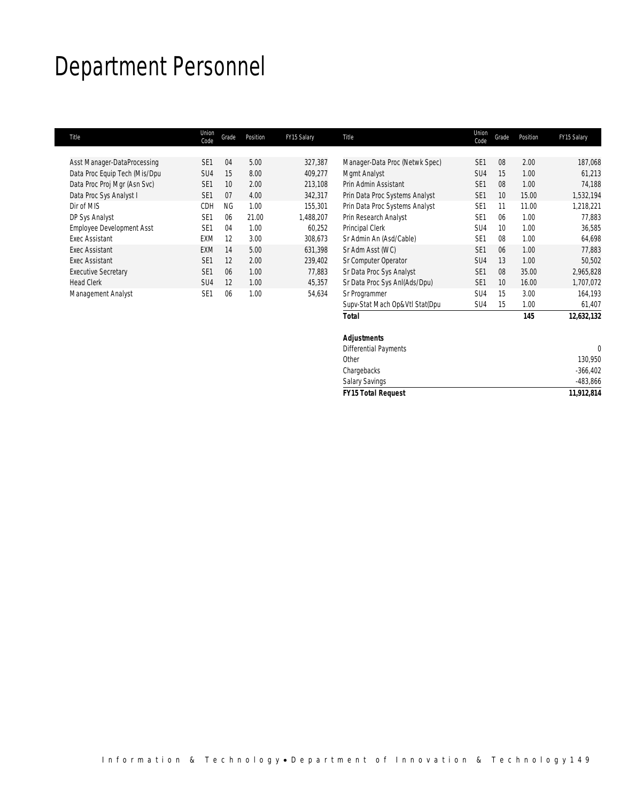# Department Personnel

| Title                            | Union<br>Code   | Grade     | Position | FY15 Salary | Title                          | Union<br>Code   | Grade           | Position | FY15 Salary |
|----------------------------------|-----------------|-----------|----------|-------------|--------------------------------|-----------------|-----------------|----------|-------------|
| Asst Manager-DataProcessing      | SE <sub>1</sub> | 04        | 5.00     | 327,387     | Manager-Data Proc (Netwk Spec) | SE <sub>1</sub> | 08              | 2.00     | 187,068     |
|                                  |                 |           |          |             |                                |                 |                 |          |             |
| Data Proc Equip Tech (Mis/Dpu    | SU <sub>4</sub> | 15        | 8.00     | 409,277     | Mgmt Analyst                   | SU <sub>4</sub> | 15              | 1.00     | 61,213      |
| Data Proc Proj Mgr (Asn Svc)     | SE <sub>1</sub> | 10        | 2.00     | 213,108     | Prin Admin Assistant           | SE <sub>1</sub> | 08              | 1.00     | 74,188      |
| Data Proc Sys Analyst I          | SE <sub>1</sub> | 07        | 4.00     | 342,317     | Prin Data Proc Systems Analyst | SE <sub>1</sub> | 10              | 15.00    | 1,532,194   |
| Dir of MIS                       | <b>CDH</b>      | <b>NG</b> | 1.00     | 155,301     | Prin Data Proc Systems Analyst | SE <sub>1</sub> | 11              | 11.00    | 1,218,221   |
| DP Sys Analyst                   | SE <sub>1</sub> | 06        | 21.00    | 1,488,207   | Prin Research Analyst          | SE <sub>1</sub> | 06              | 1.00     | 77,883      |
| <b>Employee Development Asst</b> | SE <sub>1</sub> | 04        | 1.00     | 60,252      | Principal Clerk                | SU <sub>4</sub> | 10              | 1.00     | 36,585      |
| <b>Fxec Assistant</b>            | EXM             | 12        | 3.00     | 308,673     | Sr Admin An (Asd/Cable)        | SE <sub>1</sub> | 08              | 1.00     | 64,698      |
| <b>Exec Assistant</b>            | <b>EXM</b>      | 14        | 5.00     | 631.398     | Sr Adm Asst (WC)               | SE <sub>1</sub> | 06              | 1.00     | 77.883      |
| <b>Exec Assistant</b>            | SF <sub>1</sub> | 12        | 2.00     | 239,402     | Sr Computer Operator           | SU <sub>4</sub> | 13              | 1.00     | 50,502      |
| <b>Executive Secretary</b>       | SE <sub>1</sub> | 06        | 1.00     | 77,883      | Sr Data Proc Sys Analyst       | SE <sub>1</sub> | 08              | 35.00    | 2,965,828   |
| <b>Head Clerk</b>                | SU <sub>4</sub> | 12        | 1.00     | 45,357      | Sr Data Proc Sys AnI(Ads/Dpu)  | SE <sub>1</sub> | 10 <sup>1</sup> | 16.00    | 1,707,072   |
| Management Analyst               | SE <sub>1</sub> | 06        | 1.00     | 54,634      | Sr Programmer                  | SU <sub>4</sub> | 15              | 3.00     | 164,193     |
|                                  |                 |           |          |             | Supv-Stat Mach Op&Vtl Stat(Dpu | SU <sub>4</sub> | 15              | 1.00     | 61,407      |

| <b>Total</b>                 | 145 | 12,632,132 |
|------------------------------|-----|------------|
| <b>Adjustments</b>           |     |            |
| <b>Differential Payments</b> |     |            |
| Other                        |     | 130,950    |
| Chargebacks                  |     | $-366,402$ |
| <b>Salary Savings</b>        |     | $-483,866$ |
| <b>FY15 Total Request</b>    |     | 11,912,814 |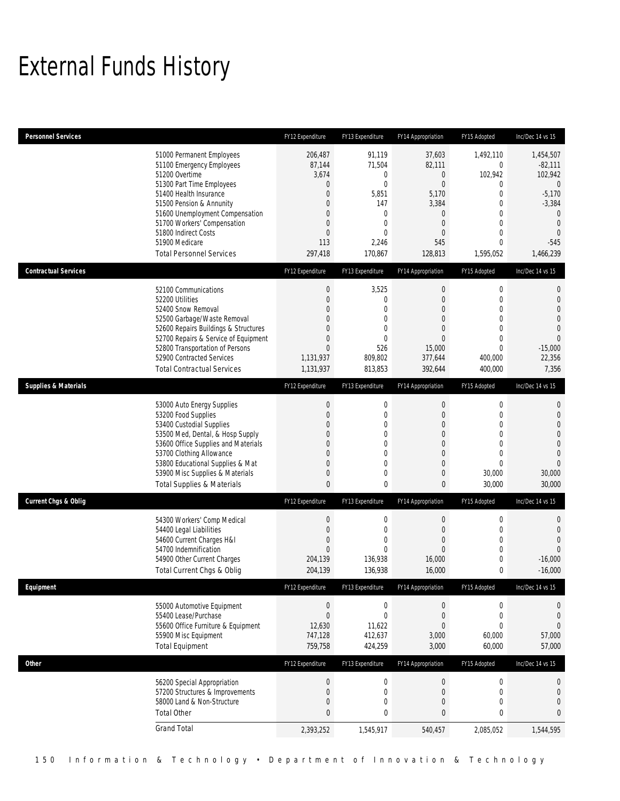# External Funds History

| <b>Personnel Services</b>       |                                                                                                                                                                                                                                                                                                            | FY12 Expenditure                                                                                   | FY13 Expenditure                                                                                                                               | FY14 Appropriation                                                                                                                                         | FY15 Adopted                                                                                                                               | Inc/Dec 14 vs 15                                                                                                                              |
|---------------------------------|------------------------------------------------------------------------------------------------------------------------------------------------------------------------------------------------------------------------------------------------------------------------------------------------------------|----------------------------------------------------------------------------------------------------|------------------------------------------------------------------------------------------------------------------------------------------------|------------------------------------------------------------------------------------------------------------------------------------------------------------|--------------------------------------------------------------------------------------------------------------------------------------------|-----------------------------------------------------------------------------------------------------------------------------------------------|
|                                 | 51000 Permanent Employees<br>51100 Emergency Employees<br>51200 Overtime<br>51300 Part Time Employees<br>51400 Health Insurance<br>51500 Pension & Annunity<br>51600 Unemployment Compensation<br>51700 Workers' Compensation<br>51800 Indirect Costs<br>51900 Medicare<br><b>Total Personnel Services</b> | 206,487<br>87,144<br>3,674<br>$\mathbf 0$<br>0<br>$\theta$<br>0<br>0<br>$\theta$<br>113<br>297,418 | 91,119<br>71,504<br>$\mathbf 0$<br>$\mathbf{0}$<br>5,851<br>147<br>$\mathbf{0}$<br>$\mathbf{0}$<br>$\mathbf{0}$<br>2,246<br>170,867            | 37,603<br>82,111<br>0<br>$\mathbf{0}$<br>5,170<br>3,384<br>$\mathbf 0$<br>$\mathbf 0$<br>$\overline{0}$<br>545<br>128,813                                  | 1,492,110<br>0<br>102,942<br>0<br>$\overline{0}$<br>0<br>$\overline{0}$<br>$\overline{0}$<br>$\overline{0}$<br>$\overline{0}$<br>1,595,052 | 1,454,507<br>$-82,111$<br>102,942<br>$\theta$<br>$-5,170$<br>$-3,384$<br>$\mathbf 0$<br>$\mathbf{0}$<br>$\overline{0}$<br>$-545$<br>1,466,239 |
| <b>Contractual Services</b>     |                                                                                                                                                                                                                                                                                                            | FY12 Expenditure                                                                                   | FY13 Expenditure                                                                                                                               | FY14 Appropriation                                                                                                                                         | FY15 Adopted                                                                                                                               | Inc/Dec 14 vs 15                                                                                                                              |
|                                 | 52100 Communications<br>52200 Utilities<br>52400 Snow Removal<br>52500 Garbage/Waste Removal<br>52600 Repairs Buildings & Structures<br>52700 Repairs & Service of Equipment<br>52800 Transportation of Persons<br>52900 Contracted Services<br><b>Total Contractual Services</b>                          | $\boldsymbol{0}$<br>$\theta$<br>0<br>0<br>$\Omega$<br>0<br>$\mathbf{0}$<br>1,131,937<br>1,131,937  | 3,525<br>$\mathbf{0}$<br>$\mathbf{0}$<br>$\mathbf{0}$<br>$\mathbf{0}$<br>$\mathbf{0}$<br>526<br>809,802<br>813,853                             | $\boldsymbol{0}$<br>$\mathbf{0}$<br>$\overline{0}$<br>$\mathbf{0}$<br>$\mathbf{0}$<br>$\overline{0}$<br>15,000<br>377,644<br>392,644                       | $\boldsymbol{0}$<br>$\overline{0}$<br>$\overline{0}$<br>$\overline{0}$<br>0<br>$\overline{0}$<br>$\overline{0}$<br>400,000<br>400,000      | $\mathbf 0$<br>$\mathbf 0$<br>$\mathbf{0}$<br>$\mathbf 0$<br>$\mathbf 0$<br>$\mathbf{0}$<br>$-15,000$<br>22,356<br>7,356                      |
| <b>Supplies &amp; Materials</b> |                                                                                                                                                                                                                                                                                                            | FY12 Expenditure                                                                                   | FY13 Expenditure                                                                                                                               | FY14 Appropriation                                                                                                                                         | FY15 Adopted                                                                                                                               | Inc/Dec 14 vs 15                                                                                                                              |
|                                 | 53000 Auto Energy Supplies<br>53200 Food Supplies<br>53400 Custodial Supplies<br>53500 Med, Dental, & Hosp Supply<br>53600 Office Supplies and Materials<br>53700 Clothing Allowance<br>53800 Educational Supplies & Mat<br>53900 Misc Supplies & Materials<br><b>Total Supplies &amp; Materials</b>       | $\boldsymbol{0}$<br>$\theta$<br>0<br>0<br>0<br>0<br>0<br>0<br>$\mathbf{0}$                         | $\boldsymbol{0}$<br>$\mathbf{0}$<br>$\mathbf{0}$<br>$\mathbf 0$<br>$\mathbf{0}$<br>$\mathbf{0}$<br>$\mathbf{0}$<br>$\mathbf{0}$<br>$\mathbf 0$ | $\boldsymbol{0}$<br>$\boldsymbol{0}$<br>$\overline{0}$<br>$\boldsymbol{0}$<br>$\mathbf 0$<br>$\overline{0}$<br>$\mathbf{0}$<br>$\mathbf 0$<br>$\mathbf{0}$ | $\boldsymbol{0}$<br>$\overline{0}$<br>$\overline{0}$<br>$\mathbf 0$<br>$\overline{0}$<br>$\overline{0}$<br>$\theta$<br>30,000<br>30,000    | $\mathbf 0$<br>$\mathbf 0$<br>$\mathbf{0}$<br>$\boldsymbol{0}$<br>$\mathbf 0$<br>$\mathbf{0}$<br>$\mathbf{0}$<br>30,000<br>30,000             |
| <b>Current Chgs &amp; Oblig</b> |                                                                                                                                                                                                                                                                                                            | FY12 Expenditure                                                                                   | FY13 Expenditure                                                                                                                               | FY14 Appropriation                                                                                                                                         | FY15 Adopted                                                                                                                               | Inc/Dec 14 vs 15                                                                                                                              |
|                                 | 54300 Workers' Comp Medical<br>54400 Legal Liabilities<br>54600 Current Charges H&I<br>54700 Indemnification<br>54900 Other Current Charges<br>Total Current Chgs & Oblig                                                                                                                                  | $\boldsymbol{0}$<br>$\mathbf 0$<br>0<br>$\mathbf{0}$<br>204,139<br>204,139                         | $\boldsymbol{0}$<br>$\mathbf{0}$<br>$\mathbf{0}$<br>$\mathbf{0}$<br>136,938<br>136,938                                                         | $\boldsymbol{0}$<br>$\boldsymbol{0}$<br>$\overline{0}$<br>$\mathbf{0}$<br>16,000<br>16,000                                                                 | 0<br>$\mathbf{0}$<br>$\overline{0}$<br>$\mathbf 0$<br>0<br>$\mathbf 0$                                                                     | $\mathbf 0$<br>$\mathbf 0$<br>$\mathbf{0}$<br>$\mathbf{0}$<br>$-16,000$<br>$-16,000$                                                          |
| Equipment                       |                                                                                                                                                                                                                                                                                                            | FY12 Expenditure                                                                                   | FY13 Expenditure                                                                                                                               | FY14 Appropriation                                                                                                                                         | FY15 Adopted                                                                                                                               | Inc/Dec 14 vs 15                                                                                                                              |
|                                 | 55000 Automotive Equipment<br>55400 Lease/Purchase<br>55600 Office Furniture & Equipment<br>55900 Misc Equipment<br><b>Total Equipment</b>                                                                                                                                                                 | $\boldsymbol{0}$<br>$\boldsymbol{0}$<br>12,630<br>747,128<br>759,758                               | $\boldsymbol{0}$<br>$\boldsymbol{0}$<br>11,622<br>412,637<br>424,259                                                                           | $\boldsymbol{0}$<br>$\boldsymbol{0}$<br>$\mathbf 0$<br>3,000<br>3,000                                                                                      | $\boldsymbol{0}$<br>$\boldsymbol{0}$<br>0<br>60,000<br>60,000                                                                              | 0<br>$\mathbf 0$<br>$\theta$<br>57,000<br>57,000                                                                                              |
| <b>Other</b>                    |                                                                                                                                                                                                                                                                                                            | FY12 Expenditure                                                                                   | FY13 Expenditure                                                                                                                               | FY14 Appropriation                                                                                                                                         | FY15 Adopted                                                                                                                               | Inc/Dec 14 vs 15                                                                                                                              |
|                                 | 56200 Special Appropriation<br>57200 Structures & Improvements<br>58000 Land & Non-Structure<br><b>Total Other</b>                                                                                                                                                                                         | $\boldsymbol{0}$<br>$\boldsymbol{0}$<br>$\boldsymbol{0}$<br>0                                      | $\mathbf 0$<br>$\mathbf 0$<br>$\mathbf 0$<br>$\bf{0}$                                                                                          | $\boldsymbol{0}$<br>$\boldsymbol{0}$<br>$\boldsymbol{0}$<br>$\pmb{0}$                                                                                      | $\boldsymbol{0}$<br>$\mathbf 0$<br>$\mathbf 0$<br>$\bf{0}$                                                                                 | $\mathbf 0$<br>$\bf{0}$<br>$\theta$<br>$\pmb{0}$                                                                                              |
|                                 | <b>Grand Total</b>                                                                                                                                                                                                                                                                                         | 2,393,252                                                                                          | 1,545,917                                                                                                                                      | 540,457                                                                                                                                                    | 2,085,052                                                                                                                                  | 1,544,595                                                                                                                                     |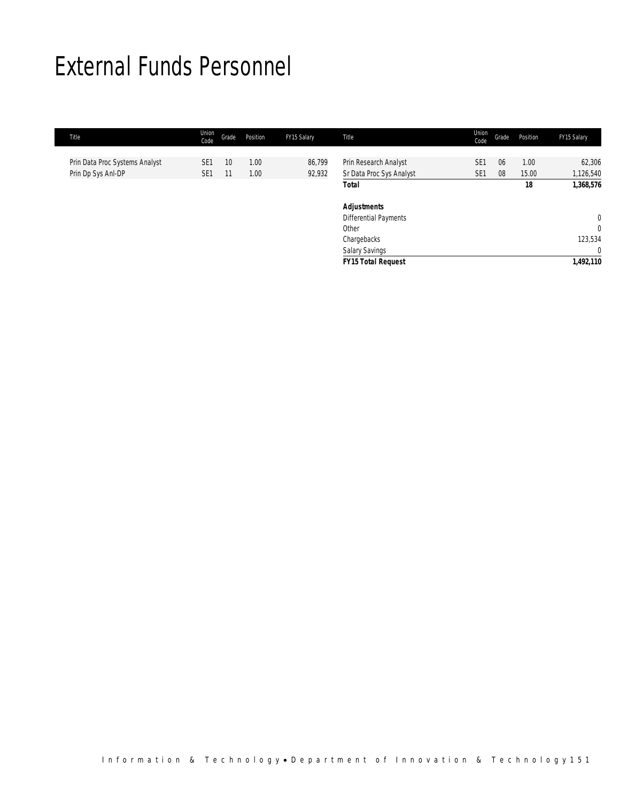## External Funds Personnel

| Title                          | Union<br>Code   | Grade | Position | FY15 Salary | Title                     | Union<br>Code   | Grade | Position | FY15 Salary    |
|--------------------------------|-----------------|-------|----------|-------------|---------------------------|-----------------|-------|----------|----------------|
|                                |                 |       |          |             |                           |                 |       |          |                |
| Prin Data Proc Systems Analyst | SE <sub>1</sub> | 10    | 1.00     | 86,799      | Prin Research Analyst     | SE <sub>1</sub> | 06    | 1.00     | 62,306         |
| Prin Dp Sys Anl-DP             | SE <sub>1</sub> | 11    | 1.00     | 92,932      | Sr Data Proc Sys Analyst  | SE <sub>1</sub> | 08    | 15.00    | 1,126,540      |
|                                |                 |       |          |             | <b>Total</b>              |                 |       | 18       | 1,368,576      |
|                                |                 |       |          |             | <b>Adjustments</b>        |                 |       |          |                |
|                                |                 |       |          |             | Differential Payments     |                 |       |          | $\overline{0}$ |
|                                |                 |       |          |             | Other                     |                 |       |          | $\overline{0}$ |
|                                |                 |       |          |             | Chargebacks               |                 |       |          | 123,534        |
|                                |                 |       |          |             | <b>Salary Savings</b>     |                 |       |          | 0              |
|                                |                 |       |          |             | <b>FY15 Total Request</b> |                 |       |          | 1,492,110      |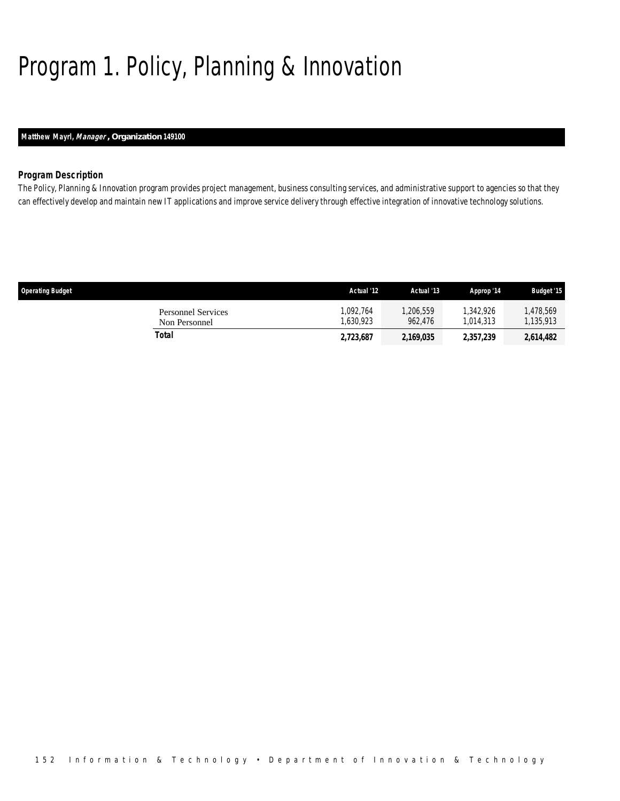# Program 1. Policy, Planning & Innovation

## *Matthew Mayrl, Manager , Organization 149100*

### *Program Description*

The Policy, Planning & Innovation program provides project management, business consulting services, and administrative support to agencies so that they can effectively develop and maintain new IT applications and improve service delivery through effective integration of innovative technology solutions.

| <b>Operating Budget</b> |                                     | Actual '12           | Actual '13          | Approp '14             | <b>Budget '15</b>    |
|-------------------------|-------------------------------------|----------------------|---------------------|------------------------|----------------------|
|                         | Personnel Services<br>Non Personnel | .092.764<br>.630.923 | ,206,559<br>962.476 | 1.342.926<br>1.014.313 | .478.569<br>,135,913 |
| Total                   |                                     | 2,723,687            | 2,169,035           | 2,357,239              | 2.614.482            |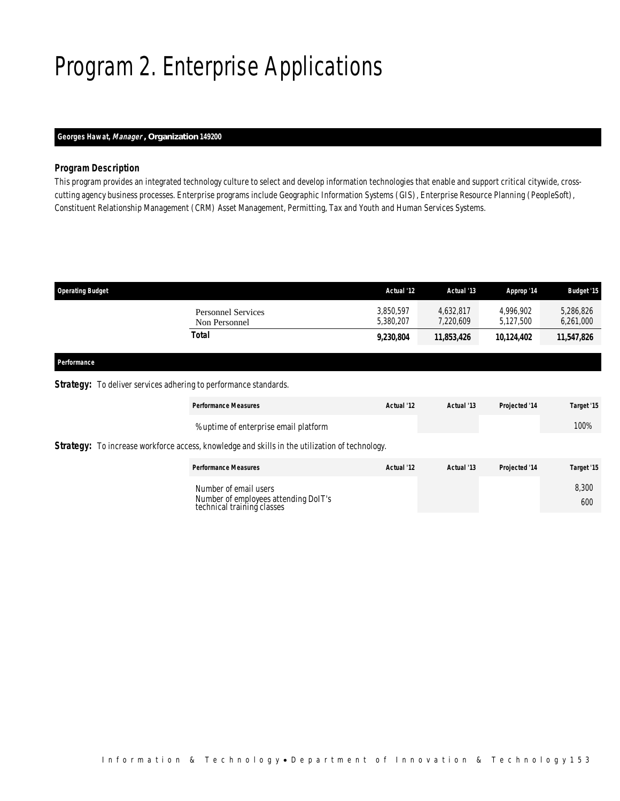# Program 2. Enterprise Applications

## *Georges Hawat, Manager , Organization 149200*

### *Program Description*

This program provides an integrated technology culture to select and develop information technologies that enable and support critical citywide, crosscutting agency business processes. Enterprise programs include Geographic Information Systems (GIS), Enterprise Resource Planning (PeopleSoft), Constituent Relationship Management (CRM) Asset Management, Permitting, Tax and Youth and Human Services Systems.

| <b>Operating Budget</b>                    | Actual '12             | Actual '13             | Approp '14             | <b>Budget '15</b>      |
|--------------------------------------------|------------------------|------------------------|------------------------|------------------------|
| <b>Personnel Services</b><br>Non Personnel | 3,850,597<br>5,380,207 | 4.632.817<br>7,220,609 | 4.996.902<br>5.127.500 | 5,286,826<br>6,261,000 |
| Total                                      | 9,230,804              | 11,853,426             | 10,124,402             | 11,547,826             |
|                                            |                        |                        |                        |                        |

### *Performance*

## **Strategy:** To deliver services adhering to performance standards.

|                                                                                                       | <b>Performance Measures</b>                                                                 | Actual '12 | Actual '13 | Projected '14 | Target '15   |  |  |
|-------------------------------------------------------------------------------------------------------|---------------------------------------------------------------------------------------------|------------|------------|---------------|--------------|--|--|
|                                                                                                       | % uptime of enterprise email platform                                                       |            |            |               | 100%         |  |  |
| <b>Strategy:</b> To increase workforce access, knowledge and skills in the utilization of technology. |                                                                                             |            |            |               |              |  |  |
|                                                                                                       | <b>Performance Measures</b>                                                                 | Actual '12 | Actual '13 | Projected '14 | Target '15   |  |  |
|                                                                                                       | Number of email users<br>Number of employees attending DoIT's<br>technical training classes |            |            |               | 8,300<br>600 |  |  |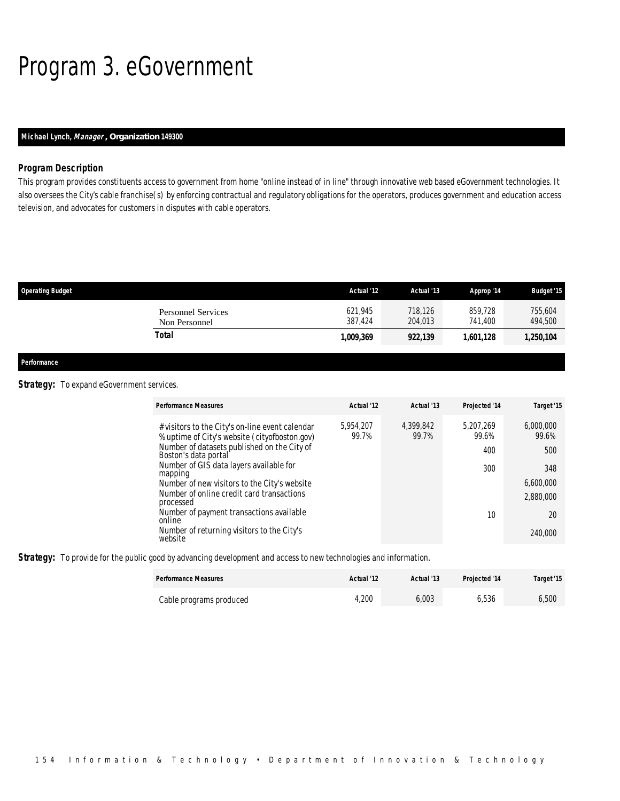# Program 3. eGovernment

## *Michael Lynch, Manager , Organization 149300*

#### *Program Description*

This program provides constituents access to government from home "online instead of in line" through innovative web based eGovernment technologies. It also oversees the City's cable franchise(s) by enforcing contractual and regulatory obligations for the operators, produces government and education access television, and advocates for customers in disputes with cable operators.

| <b>Operating Budget</b>                    | Actual '12         | Actual '13         | Approp '14         | <b>Budget '15</b>  |
|--------------------------------------------|--------------------|--------------------|--------------------|--------------------|
| <b>Personnel Services</b><br>Non Personnel | 621,945<br>387.424 | 718.126<br>204.013 | 859.728<br>741.400 | 755.604<br>494,500 |
| Total                                      | 1,009,369          | 922,139            | 1.601.128          | 1,250,104          |
|                                            |                    |                    |                    |                    |

*Performance* 

### **Strategy:** To expand eGovernment services.

| <b>Performance Measures</b>                                                                      | Actual '12         | Actual '13         | Projected '14      | Target '15         |
|--------------------------------------------------------------------------------------------------|--------------------|--------------------|--------------------|--------------------|
| # visitors to the City's on-line event calendar<br>% uptime of City's website (cityofboston.gov) | 5,954,207<br>99.7% | 4,399,842<br>99.7% | 5.207.269<br>99.6% | 6,000,000<br>99.6% |
| Number of datasets published on the City of<br>Boston's data portal                              |                    |                    | 400                | 500                |
| Number of GIS data layers available for<br>mapping                                               |                    |                    | 300                | 348                |
| Number of new visitors to the City's website                                                     |                    |                    |                    | 6,600,000          |
| Number of online credit card transactions<br>processed                                           |                    |                    |                    | 2,880,000          |
| Number of payment transactions available<br>online                                               |                    |                    | 10                 | 20                 |
| Number of returning visitors to the City's<br>website                                            |                    |                    |                    | 240,000            |

*Strategy:* To provide for the public good by advancing development and access to new technologies and information.

| <b>Performance Measures</b> | Actual '12 | Actual '13 | <b>Projected '14</b> | Target '15 |
|-----------------------------|------------|------------|----------------------|------------|
| Cable programs produced     | .200       | 6,003      | 6,536                | 6,500      |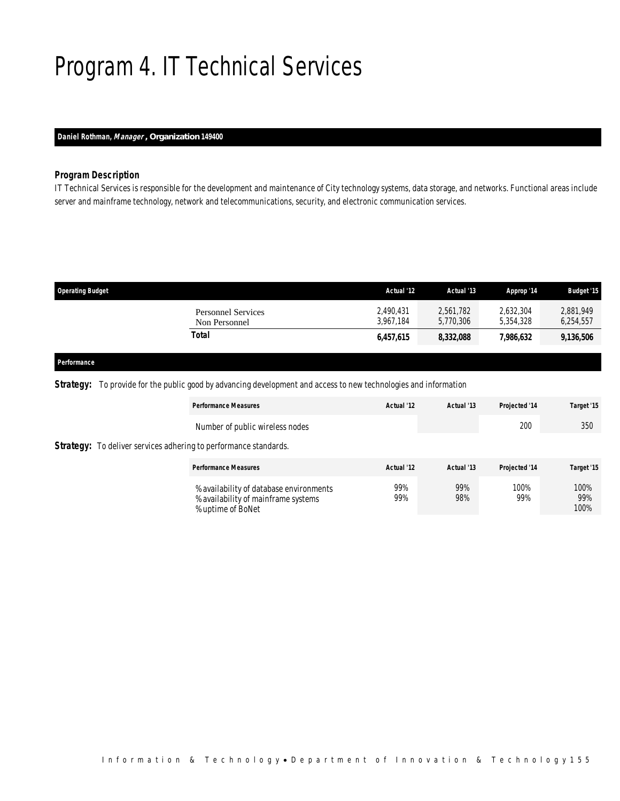# Program 4. IT Technical Services

## *Daniel Rothman, Manager , Organization 149400*

### *Program Description*

IT Technical Services is responsible for the development and maintenance of City technology systems, data storage, and networks. Functional areas include server and mainframe technology, network and telecommunications, security, and electronic communication services.

| <b>Operating Budget</b>                    | Actual '12             | Actual '13             | Approp '14             | <b>Budget '15</b>      |
|--------------------------------------------|------------------------|------------------------|------------------------|------------------------|
| <b>Personnel Services</b><br>Non Personnel | 2,490,431<br>3.967.184 | 2,561,782<br>5,770,306 | 2.632.304<br>5.354.328 | 2,881,949<br>6,254,557 |
| Total                                      | 6,457,615              | 8,332,088              | 7,986,632              | 9,136,506              |
|                                            |                        |                        |                        |                        |

## *Performance*

*Strategy:* To provide for the public good by advancing development and access to new technologies and information

|                                                                         | <b>Performance Measures</b>                                                                         | Actual '12 | Actual '13 | Projected '14 | Target '15          |
|-------------------------------------------------------------------------|-----------------------------------------------------------------------------------------------------|------------|------------|---------------|---------------------|
|                                                                         | Number of public wireless nodes                                                                     |            |            | 200           | 350                 |
| <b>Strategy:</b> To deliver services adhering to performance standards. |                                                                                                     |            |            |               |                     |
|                                                                         | <b>Performance Measures</b>                                                                         | Actual '12 | Actual '13 | Projected '14 | Target '15          |
|                                                                         | % availability of database environments<br>% availability of mainframe systems<br>% uptime of BoNet | 99%<br>99% | 99%<br>98% | 100%<br>99%   | 100%<br>99%<br>100% |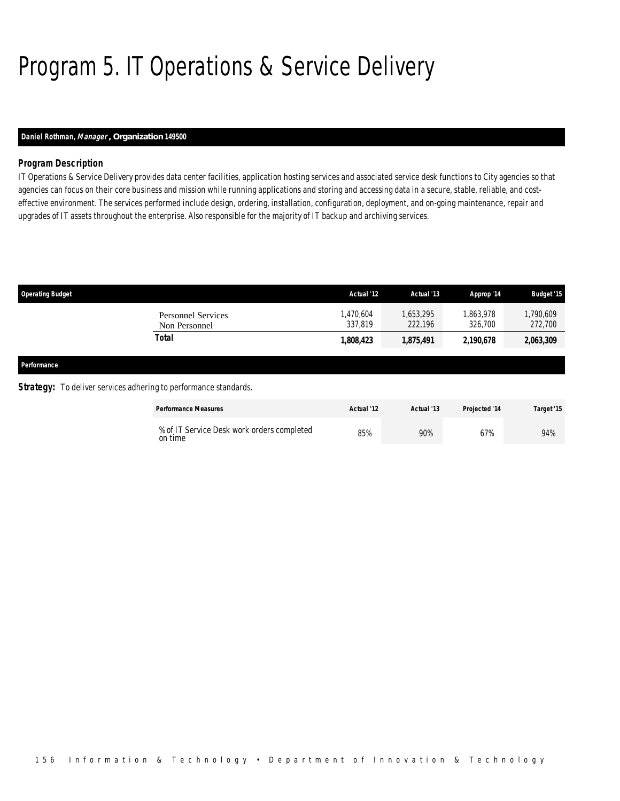# Program 5. IT Operations & Service Delivery

### *Daniel Rothman, Manager , Organization 149500*

### *Program Description*

IT Operations & Service Delivery provides data center facilities, application hosting services and associated service desk functions to City agencies so that agencies can focus on their core business and mission while running applications and storing and accessing data in a secure, stable, reliable, and costeffective environment. The services performed include design, ordering, installation, configuration, deployment, and on-going maintenance, repair and upgrades of IT assets throughout the enterprise. Also responsible for the majority of IT backup and archiving services.

| <b>Operating Budget</b> |                                                                         | Actual '12           | Actual '13           | Approp '14           | <b>Budget '15</b>    |
|-------------------------|-------------------------------------------------------------------------|----------------------|----------------------|----------------------|----------------------|
|                         | <b>Personnel Services</b><br>Non Personnel                              | 1,470,604<br>337.819 | 1,653,295<br>222,196 | 1,863,978<br>326,700 | 1,790,609<br>272,700 |
|                         | Total                                                                   | 1,808,423            | 1,875,491            | 2,190,678            | 2,063,309            |
| Performance             |                                                                         |                      |                      |                      |                      |
|                         | <b>Strategy:</b> To deliver services adhering to performance standards. |                      |                      |                      |                      |

| <b>Performance Measures</b>                           | Actual '12 | Actual '13 | <b>Projected '14</b> | Target '15 |
|-------------------------------------------------------|------------|------------|----------------------|------------|
| % of IT Service Desk work orders completed<br>on time | 85%        | 90%        | 67%                  | 94%        |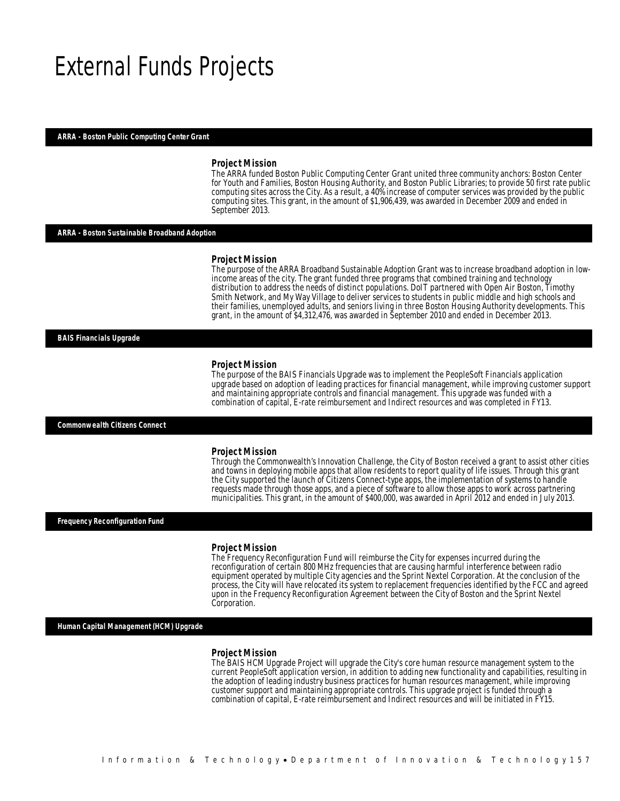## External Funds Projects

#### *ARRA - Boston Public Computing Center Grant*

#### *Project Mission*

The ARRA funded Boston Public Computing Center Grant united three community anchors: Boston Center for Youth and Families, Boston Housing Authority, and Boston Public Libraries; to provide 50 first rate public computing sites across the City. As a result, a 40% increase of computer services was provided by the public computing sites. This grant, in the amount of \$1,906,439, was awarded in December 2009 and ended in September 2013.

#### *ARRA - Boston Sustainable Broadband Adoption*

#### *Project Mission*

The purpose of the ARRA Broadband Sustainable Adoption Grant was to increase broadband adoption in lowincome areas of the city. The grant funded three programs that combined training and technology distribution to address the needs of distinct populations. DoIT partnered with Open Air Boston, Timothy Smith Network, and My Way Village to deliver services to students in public middle and high schools and their families, unemployed adults, and seniors living in three Boston Housing Authority developments. This grant, in the amount of \$4,312,476, was awarded in September 2010 and ended in December 2013.

#### *BAIS Financials Upgrade*

#### *Project Mission*

Ì

The purpose of the BAIS Financials Upgrade was to implement the PeopleSoft Financials application upgrade based on adoption of leading practices for financial management, while improving customer support and maintaining appropriate controls and financial management. This upgrade was funded with a combination of capital, E-rate reimbursement and Indirect resources and was completed in FY13.

#### *Commonwealth Citizens Connect*

#### *Project Mission*

Through the Commonwealth's Innovation Challenge, the City of Boston received a grant to assist other cities and towns in deploying mobile apps that allow residents to report quality of life issues. Through this grant the City supported the launch of Citizens Connect-type apps, the implementation of systems to handle requests made through those apps, and a piece of software to allow those apps to work across partnering municipalities. This grant, in the amount of \$400,000, was awarded in April 2012 and ended in July 2013.

#### *Frequency Reconfiguration Fund*

#### *Project Mission*

The Frequency Reconfiguration Fund will reimburse the City for expenses incurred during the reconfiguration of certain 800 MHz frequencies that are causing harmful interference between radio equipment operated by multiple City agencies and the Sprint Nextel Corporation. At the conclusion of the process, the City will have relocated its system to replacement frequencies identified by the FCC and agreed upon in the Frequency Reconfiguration Agreement between the City of Boston and the Sprint Nextel Corporation.

*Human Capital Management (HCM) Upgrade* 

#### *Project Mission*

The BAIS HCM Upgrade Project will upgrade the City's core human resource management system to the current PeopleSoft application version, in addition to adding new functionality and capabilities, resulting in the adoption of leading industry business practices for human resources management, while improving customer support and maintaining appropriate controls. This upgrade project is funded through a combination of capital, E-rate reimbursement and Indirect resources and will be initiated in FY15.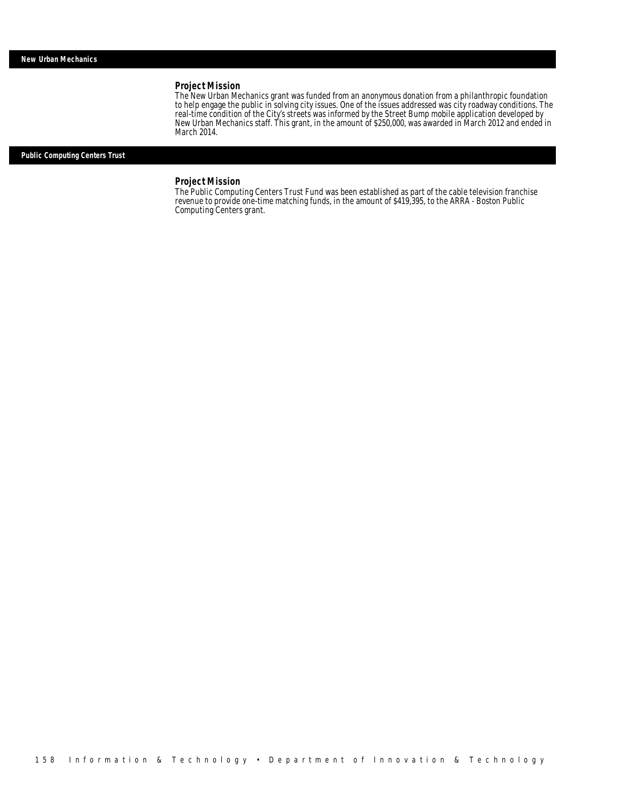## *Project Mission*

The New Urban Mechanics grant was funded from an anonymous donation from a philanthropic foundation to help engage the public in solving city issues. One of the issues addressed was city roadway conditions. The real-time condition of the City's streets was informed by the Street Bump mobile application developed by New Urban Mechanics staff. This grant, in the amount of \$250,000, was awarded in March 2012 and ended in March 2014.

*Public Computing Centers Trust* 

## *Project Mission*

The Public Computing Centers Trust Fund was been established as part of the cable television franchise revenue to provide one-time matching funds, in the amount of \$419,395, to the ARRA - Boston Public Computing Centers grant.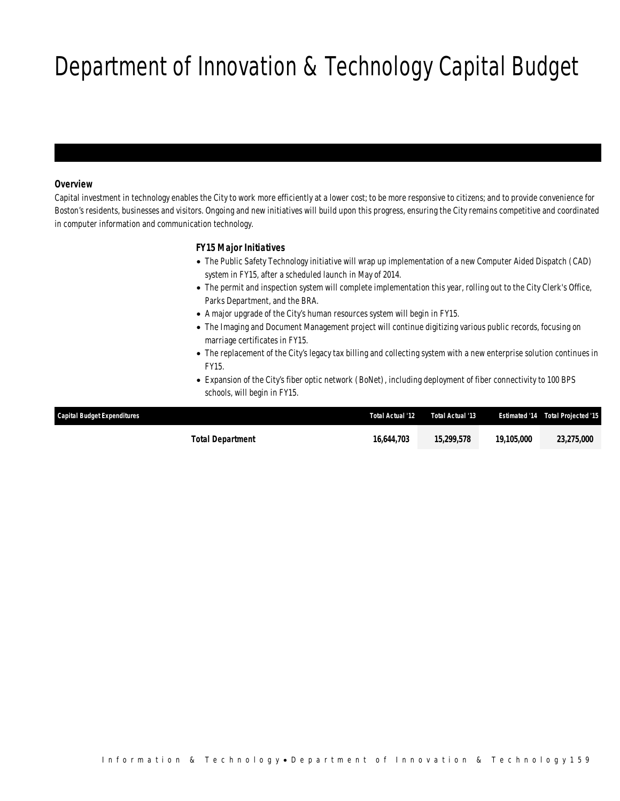# Department of Innovation & Technology Capital Budget

### *Overview*

Capital investment in technology enables the City to work more efficiently at a lower cost; to be more responsive to citizens; and to provide convenience for Boston's residents, businesses and visitors. Ongoing and new initiatives will build upon this progress, ensuring the City remains competitive and coordinated in computer information and communication technology.

## *FY15 Major Initiatives*

- The Public Safety Technology initiative will wrap up implementation of a new Computer Aided Dispatch (CAD) system in FY15, after a scheduled launch in May of 2014.
- The permit and inspection system will complete implementation this year, rolling out to the City Clerk's Office, Parks Department, and the BRA.
- A major upgrade of the City's human resources system will begin in FY15.
- The Imaging and Document Management project will continue digitizing various public records, focusing on marriage certificates in FY15.
- The replacement of the City's legacy tax billing and collecting system with a new enterprise solution continues in FY15.
- Expansion of the City's fiber optic network (BoNet), including deployment of fiber connectivity to 100 BPS schools, will begin in FY15.

| <b>Capital Budget Expenditures</b> | <b>Total Actual '12</b> | Total Actual '13 |            | <b>Estimated '14 Total Projected '15</b> |
|------------------------------------|-------------------------|------------------|------------|------------------------------------------|
| Total Department                   | 16.644.703              | 15,299,578       | 19,105,000 | 23,275,000                               |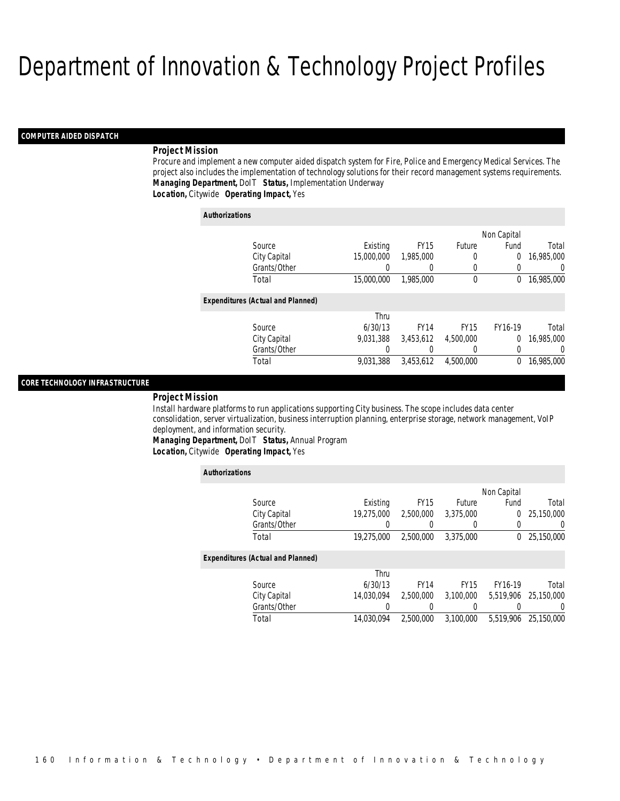#### *COMPUTER AIDED DISPATCH*

#### *Project Mission*

Procure and implement a new computer aided dispatch system for Fire, Police and Emergency Medical Services. The project also includes the implementation of technology solutions for their record management systems requirements. *Managing Department,* DoIT *Status,* Implementation Underway*Location,* Citywide *Operating Impact,* Yes

| <b>Authorizations</b>                    |            |             |             |             |                |
|------------------------------------------|------------|-------------|-------------|-------------|----------------|
|                                          |            |             |             | Non Capital |                |
| Source                                   | Existing   | <b>FY15</b> | Future      | Fund        | Total          |
| City Capital                             | 15,000,000 | 1,985,000   | 0           | 0           | 16,985,000     |
| Grants/Other                             |            | 0           | 0           |             | $\overline{0}$ |
| Total                                    | 15,000,000 | 1,985,000   | $\mathbf 0$ | $\theta$    | 16,985,000     |
| <b>Expenditures (Actual and Planned)</b> |            |             |             |             |                |
|                                          | Thru       |             |             |             |                |
| Source                                   | 6/30/13    | <b>FY14</b> | <b>FY15</b> | FY16-19     | Total          |
| City Capital                             | 9.031.388  | 3.453.612   | 4.500.000   | 0           | 16,985,000     |
| Grants/Other                             | 0          |             | 0           |             | $\Omega$       |
| Total                                    | 9.031.388  | 3.453.612   | 4,500,000   | 0           | 16,985,000     |

#### *CORE TECHNOLOGY INFRASTRUCTURE*

#### *Project Mission*

Install hardware platforms to run applications supporting City business. The scope includes data center consolidation, server virtualization, business interruption planning, enterprise storage, network management, VoIP deployment, and information security.

*Managing Department,* DoIT *Status,* Annual Program*Location,* Citywide *Operating Impact,* Yes

| <b>Authorizations</b>                    |            |             |             |             |                  |
|------------------------------------------|------------|-------------|-------------|-------------|------------------|
|                                          |            |             |             | Non Capital |                  |
| Source                                   | Existing   | <b>FY15</b> | Future      | Fund        | Total            |
| City Capital                             | 19.275.000 | 2,500,000   | 3.375.000   | 0           | 25.150.000       |
| Grants/Other                             |            |             |             |             | 0                |
| Total                                    | 19,275,000 | 2,500,000   | 3,375,000   | 0           | 25,150,000       |
| <b>Expenditures (Actual and Planned)</b> |            |             |             |             |                  |
|                                          | Thru       |             |             |             |                  |
| Source                                   | 6/30/13    | <b>FY14</b> | <b>FY15</b> | FY16-19     | Total            |
| City Capital                             | 14.030.094 | 2.500.000   | 3.100.000   | 5.519.906   | 25.150.000       |
| Grants/Other                             | 0          | 0           | 0           |             | $\left( \right)$ |
| Total                                    | 14.030.094 | 2,500,000   | 3.100.000   | 5.519.906   | 25,150,000       |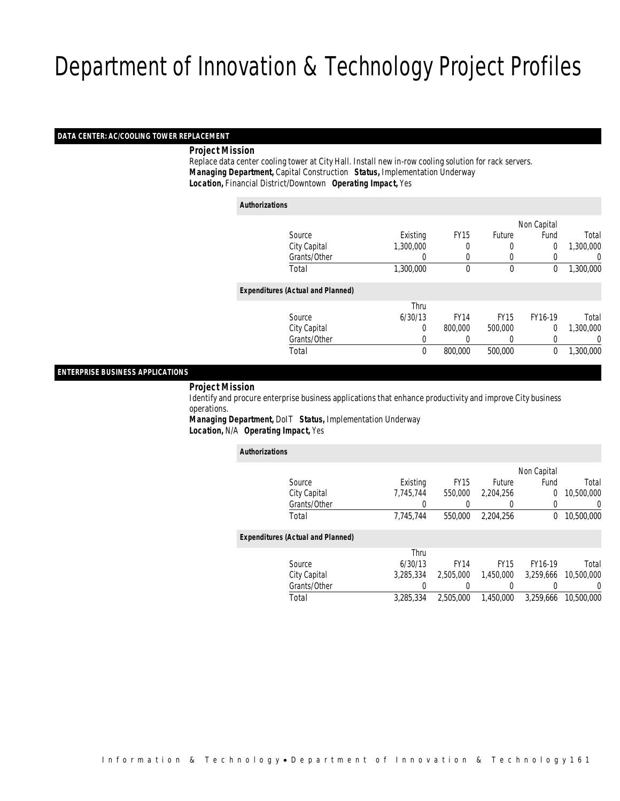## *DATA CENTER: AC/COOLING TOWER REPLACEMENT*

*Project Mission*

 Replace data center cooling tower at City Hall. Install new in-row cooling solution for rack servers. *Managing Department,* Capital Construction *Status,* Implementation Underway*Location,* Financial District/Downtown *Operating Impact,* Yes

| Authorizations                           |              |             |             |             |                |           |
|------------------------------------------|--------------|-------------|-------------|-------------|----------------|-----------|
|                                          |              |             |             |             | Non Capital    |           |
|                                          | Source       | Existing    | <b>FY15</b> | Future      | Fund           | Total     |
|                                          | City Capital | 1,300,000   | 0           |             | $\overline{0}$ | 1,300,000 |
|                                          | Grants/Other | 0           | 0           | $\left($    | 0              | 0         |
|                                          | Total        | 1,300,000   | $\theta$    | $\theta$    | 0              | 1,300,000 |
| <b>Expenditures (Actual and Planned)</b> |              |             |             |             |                |           |
|                                          |              | Thru        |             |             |                |           |
|                                          | Source       | 6/30/13     | <b>FY14</b> | <b>FY15</b> | FY16-19        | Total     |
|                                          | City Capital | 0           | 800,000     | 500,000     | $\overline{0}$ | 1,300,000 |
|                                          | Grants/Other | 0           |             |             | 0              | 0         |
|                                          | Total        | $\mathbf 0$ | 800,000     | 500,000     | 0              | 1,300,000 |
|                                          |              |             |             |             |                |           |

#### *ENTERPRISE BUSINESS APPLICATIONS*

#### *Project Mission*

 Identify and procure enterprise business applications that enhance productivity and improve City business operations.

*Managing Department,* DoIT *Status,* Implementation Underway*Location,* N/A *Operating Impact,* Yes

| <b>Authorizations</b> |                                          |           |             |               |              |            |
|-----------------------|------------------------------------------|-----------|-------------|---------------|--------------|------------|
|                       |                                          |           |             |               | Non Capital  |            |
|                       | Source                                   | Existing  | <b>FY15</b> | <b>Future</b> | Fund         | Total      |
|                       | City Capital                             | 7.745.744 | 550,000     | 2.204.256     | $\Omega$     | 10,500,000 |
|                       | Grants/Other                             |           |             |               | 0            | 0          |
|                       | Total                                    | 7,745,744 | 550,000     | 2.204.256     | $\mathbf{0}$ | 10,500,000 |
|                       |                                          |           |             |               |              |            |
|                       | <b>Expenditures (Actual and Planned)</b> |           |             |               |              |            |
|                       |                                          | Thru      |             |               |              |            |
|                       | Source                                   | 6/30/13   | <b>FY14</b> | <b>FY15</b>   | FY16-19      | Total      |
|                       | City Capital                             | 3.285.334 | 2,505,000   | 1.450.000     | 3.259.666    | 10,500,000 |
|                       | Grants/Other                             |           |             |               |              | 0          |
|                       | Total                                    | 3.285.334 | 2,505,000   | 1,450,000     | 3.259.666    | 10,500,000 |
|                       |                                          |           |             |               |              |            |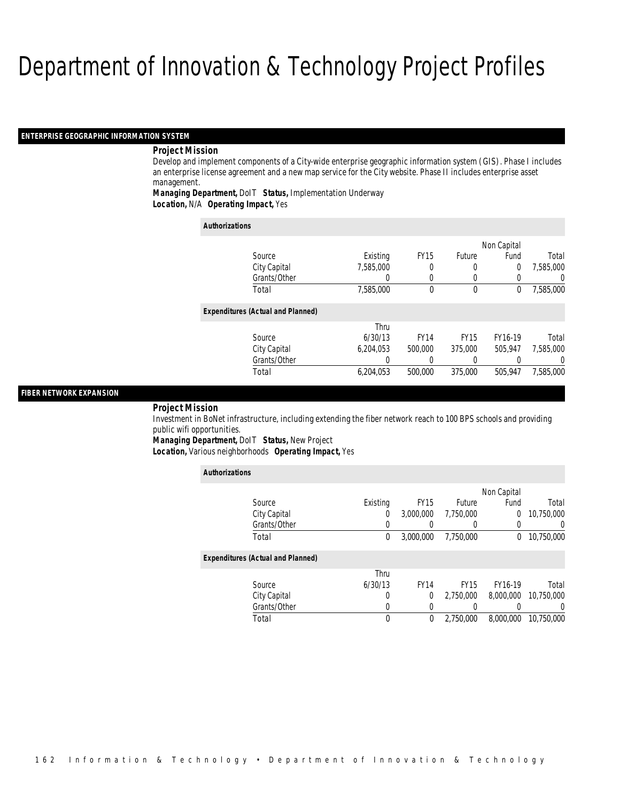#### *ENTERPRISE GEOGRAPHIC INFORMATION SYSTEM*

#### *Project Mission*

Develop and implement components of a City-wide enterprise geographic information system (GIS). Phase I includes an enterprise license agreement and a new map service for the City website. Phase II includes enterprise asset management.

### *Managing Department,* DoIT *Status,* Implementation Underway*Location,* N/A *Operating Impact,* Yes

| <b>Authorizations</b>                    |           |             |             |             |                  |
|------------------------------------------|-----------|-------------|-------------|-------------|------------------|
|                                          |           |             |             | Non Capital |                  |
| Source                                   | Existing  | <b>FY15</b> | Future      | Fund        | Total            |
| City Capital                             | 7.585.000 | 0           |             | 0           | 7,585,000        |
| Grants/Other                             |           | 0           |             |             | $\left( \right)$ |
| Total                                    | 7,585,000 | $\theta$    | 0           | 0           | 7,585,000        |
| <b>Expenditures (Actual and Planned)</b> |           |             |             |             |                  |
|                                          | Thru      |             |             |             |                  |
| Source                                   | 6/30/13   | <b>FY14</b> | <b>FY15</b> | FY16-19     | Total            |
| City Capital                             | 6.204.053 | 500,000     | 375,000     | 505.947     | 7.585.000        |
| Grants/Other                             | 0         | 0           |             |             | $\left($         |
| Total                                    | 6.204.053 | 500,000     | 375,000     | 505.947     | 7.585.000        |

#### *FIBER NETWORK EXPANSION*

#### *Project Mission*

Investment in BoNet infrastructure, including extending the fiber network reach to 100 BPS schools and providing public wifi opportunities.

*Managing Department,* DoIT *Status,* New Project

*Location,* Various neighborhoods *Operating Impact,* Yes

| <b>Authorizations</b>                    |          |             |             |                |                  |
|------------------------------------------|----------|-------------|-------------|----------------|------------------|
|                                          |          |             |             | Non Capital    |                  |
| Source                                   | Existing | <b>FY15</b> | Future      | Fund           | Total            |
| City Capital                             | $\Omega$ | 3,000,000   | 7,750,000   | $\overline{0}$ | 10,750,000       |
| Grants/Other                             | 0        |             | 0           | 0              | 0                |
| Total                                    | 0        | 3,000,000   | 7.750.000   | 0              | 10,750,000       |
| <b>Expenditures (Actual and Planned)</b> |          |             |             |                |                  |
|                                          | Thru     |             |             |                |                  |
| Source                                   | 6/30/13  | <b>FY14</b> | <b>FY15</b> | FY16-19        | Total            |
| City Capital                             | 0        | 0           | 2.750.000   | 8,000,000      | 10,750,000       |
| Grants/Other                             | 0        | 0           | 0           |                | $\left( \right)$ |
| Total                                    | 0        | $\theta$    | 2.750.000   | 8.000.000      | 10.750.000       |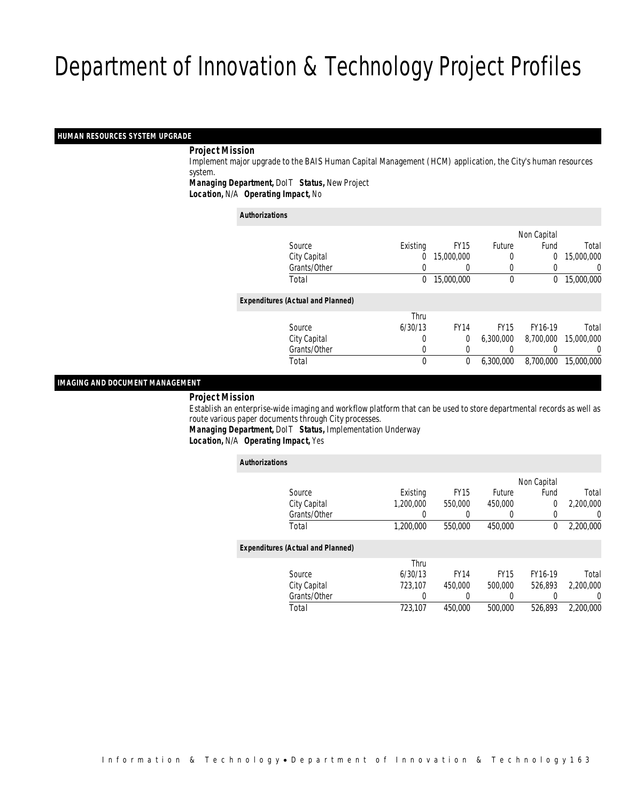#### *HUMAN RESOURCES SYSTEM UPGRADE*

#### *Project Mission*

 Implement major upgrade to the BAIS Human Capital Management (HCM) application, the City's human resources system.

*Managing Department,* DoIT *Status,* New Project

*Location,* N/A *Operating Impact,* No

#### *Authorizations*

|                                          |          |             |             | Non Capital    |            |
|------------------------------------------|----------|-------------|-------------|----------------|------------|
| Source                                   | Existing | <b>FY15</b> | Future      | Fund           | Total      |
| City Capital                             | 0        | 15,000,000  | 0           | $\overline{0}$ | 15,000,000 |
| Grants/Other                             |          |             |             |                | 0          |
| Total                                    | 0        | 15,000,000  | 0           | 0              | 15,000,000 |
| <b>Expenditures (Actual and Planned)</b> |          |             |             |                |            |
|                                          | Thru     |             |             |                |            |
| Source                                   | 6/30/13  | <b>FY14</b> | <b>FY15</b> | FY16-19        | Total      |
| City Capital                             | 0        | 0           | 6.300.000   | 8,700,000      | 15,000,000 |
| Grants/Other                             | 0        |             |             |                | 0          |
| Total                                    | 0        | $\theta$    | 6.300.000   | 8,700,000      | 15,000,000 |
|                                          |          |             |             |                |            |

#### *IMAGING AND DOCUMENT MANAGEMENT*

#### *Project Mission*

 Establish an enterprise-wide imaging and workflow platform that can be used to store departmental records as well as route various paper documents through City processes.

*Managing Department,* DoIT *Status,* Implementation Underway

*Location,* N/A *Operating Impact,* Yes

| <b>Authorizations</b>                    |           |             |             |             |           |
|------------------------------------------|-----------|-------------|-------------|-------------|-----------|
|                                          |           |             |             | Non Capital |           |
| Source                                   | Existing  | <b>FY15</b> | Future      | Fund        | Total     |
| City Capital                             | 1,200,000 | 550,000     | 450,000     | $\Omega$    | 2,200,000 |
| Grants/Other                             |           |             | $\left($    |             | $\left($  |
| Total                                    | 1,200,000 | 550,000     | 450,000     | $\theta$    | 2,200,000 |
| <b>Expenditures (Actual and Planned)</b> |           |             |             |             |           |
|                                          | Thru      |             |             |             |           |
| Source                                   | 6/30/13   | <b>FY14</b> | <b>FY15</b> | FY16-19     | Total     |
| City Capital                             | 723.107   | 450,000     | 500,000     | 526.893     | 2,200,000 |
| Grants/Other                             | 0         |             | 0           |             | $\Omega$  |
| Total                                    | 723,107   | 450.000     | 500,000     | 526.893     | 2.200.000 |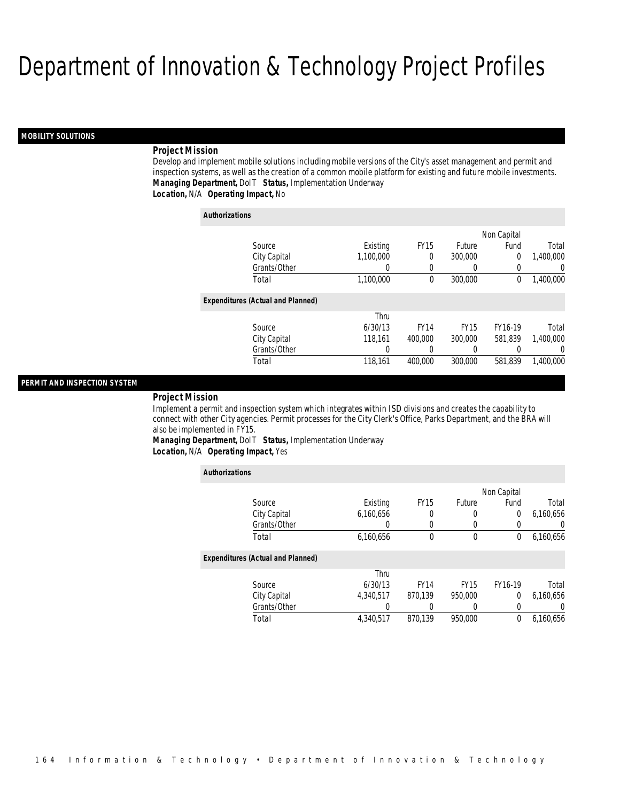#### *MOBILITY SOLUTIONS*

### *Project Mission*

Develop and implement mobile solutions including mobile versions of the City's asset management and permit and inspection systems, as well as the creation of a common mobile platform for existing and future mobile investments. *Managing Department,* DoIT *Status,* Implementation Underway*Location,* N/A *Operating Impact,* No

| <b>Authorizations</b>                    |           |             |             |                |                  |
|------------------------------------------|-----------|-------------|-------------|----------------|------------------|
|                                          |           |             |             | Non Capital    |                  |
| Source                                   | Existing  | <b>FY15</b> | Future      | Fund           | Total            |
| City Capital                             | 1,100,000 | 0           | 300,000     | $\overline{0}$ | 1,400,000        |
| Grants/Other                             | 0         | 0           | 0           | 0              | 0                |
| Total                                    | 1,100,000 | 0           | 300,000     | 0              | 1,400,000        |
| <b>Expenditures (Actual and Planned)</b> |           |             |             |                |                  |
|                                          | Thru      |             |             |                |                  |
| Source                                   | 6/30/13   | <b>FY14</b> | <b>FY15</b> | FY16-19        | Total            |
| City Capital                             | 118.161   | 400,000     | 300,000     | 581.839        | 1.400.000        |
| Grants/Other                             | 0         | 0           | 0           | 0              | $\left( \right)$ |
| Total                                    | 118.161   | 400.000     | 300,000     | 581.839        | 1,400,000        |

#### *PERMIT AND INSPECTION SYSTEM*

#### *Project Mission*

Implement a permit and inspection system which integrates within ISD divisions and creates the capability to connect with other City agencies. Permit processes for the City Clerk's Office, Parks Department, and the BRA will also be implemented in FY15.

*Managing Department,* DoIT *Status,* Implementation Underway*Location,* N/A *Operating Impact,* Yes

| <b>Authorizations</b>                    |           |             |             |             |           |
|------------------------------------------|-----------|-------------|-------------|-------------|-----------|
|                                          |           |             |             | Non Capital |           |
| Source                                   | Existing  | <b>FY15</b> | Future      | Fund        | Total     |
| City Capital                             | 6.160.656 | 0           | 0           | 0           | 6,160,656 |
| Grants/Other                             | 0         | 0           | 0           |             | U         |
| Total                                    | 6,160,656 | 0           | 0           | 0           | 6,160,656 |
| <b>Expenditures (Actual and Planned)</b> |           |             |             |             |           |
|                                          | Thru      |             |             |             |           |
| Source                                   | 6/30/13   | <b>FY14</b> | <b>FY15</b> | FY16-19     | Total     |
| City Capital                             | 4,340,517 | 870,139     | 950,000     | $\Omega$    | 6,160,656 |
| Grants/Other                             | 0         |             | 0           | 0           | 0         |
| Total                                    | 4.340.517 | 870.139     | 950.000     | 0           | 6.160.656 |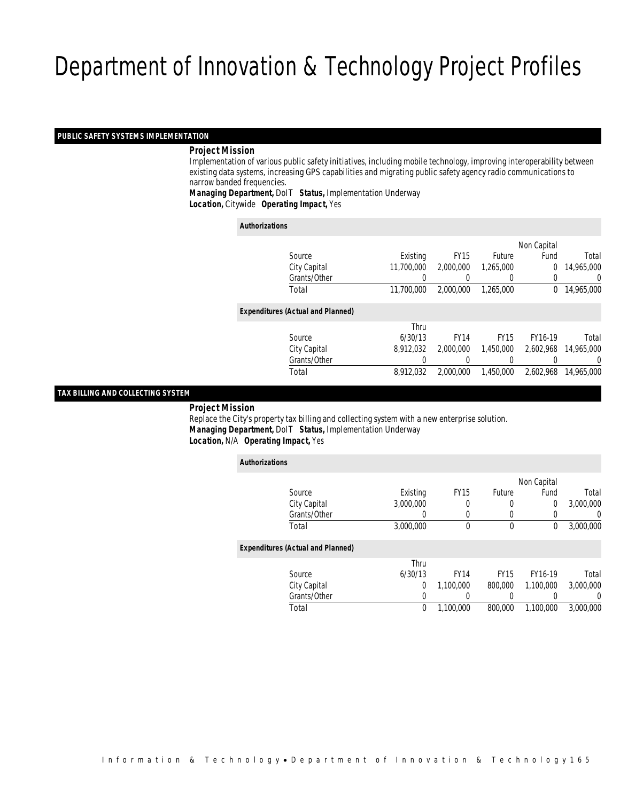## *PUBLIC SAFETY SYSTEMS IMPLEMENTATION*

#### *Project Mission*

 Implementation of various public safety initiatives, including mobile technology, improving interoperability between existing data systems, increasing GPS capabilities and migrating public safety agency radio communications to narrow banded frequencies.

*Managing Department,* DoIT *Status,* Implementation Underway*Location,* Citywide *Operating Impact,* Yes

| <b>Authorizations</b> |                                          |            |             |                  |             |            |
|-----------------------|------------------------------------------|------------|-------------|------------------|-------------|------------|
|                       |                                          |            |             |                  | Non Capital |            |
|                       | Source                                   | Existing   | <b>FY15</b> | Future           | Fund        | Total      |
|                       | City Capital                             | 11,700,000 | 2,000,000   | 1.265.000        | 0           | 14,965,000 |
|                       | Grants/Other                             | 0          |             | $\left( \right)$ | 0           | 0          |
|                       | Total                                    | 11,700,000 | 2.000.000   | 1.265.000        | $\Omega$    | 14,965,000 |
|                       | <b>Expenditures (Actual and Planned)</b> |            |             |                  |             |            |
|                       |                                          | Thru       |             |                  |             |            |
|                       | Source                                   | 6/30/13    | <b>FY14</b> | <b>FY15</b>      | FY16-19     | Total      |
|                       | City Capital                             | 8,912,032  | 2.000.000   | 1,450,000        | 2.602.968   | 14,965,000 |
|                       | Grants/Other                             | 0          |             | 0                |             | 0          |
|                       | Total                                    | 8.912.032  | 2.000.000   | 1.450.000        | 2.602.968   | 14,965,000 |
|                       |                                          |            |             |                  |             |            |

#### *TAX BILLING AND COLLECTING SYSTEM*

*Project Mission*

 Replace the City's property tax billing and collecting system with a new enterprise solution. *Managing Department,* DoIT *Status,* Implementation Underway*Location,* N/A *Operating Impact,* Yes

| <b>Authorizations</b>                    |           |                  |             |                |                |
|------------------------------------------|-----------|------------------|-------------|----------------|----------------|
|                                          |           |                  |             | Non Capital    |                |
| Source                                   | Existing  | FY <sub>15</sub> | Future      | Fund           | Total          |
| City Capital                             | 3.000.000 | 0                | 0           | $\overline{0}$ | 3.000.000      |
| Grants/Other                             | 0         | $\Omega$         | 0           |                | $\overline{0}$ |
| Total                                    | 3,000,000 | 0                | $\mathbf 0$ | $\Omega$       | 3,000,000      |
| <b>Expenditures (Actual and Planned)</b> |           |                  |             |                |                |
|                                          | Thru      |                  |             |                |                |
| Source                                   | 6/30/13   | <b>FY14</b>      | <b>FY15</b> | FY16-19        | Total          |
| City Capital                             | 0         | 1,100,000        | 800,000     | 1.100.000      | 3,000,000      |
| Grants/Other                             | 0         |                  | 0           |                | $\Omega$       |
| Total                                    | 0         | 1.100.000        | 800,000     | 1.100.000      | 3,000,000      |